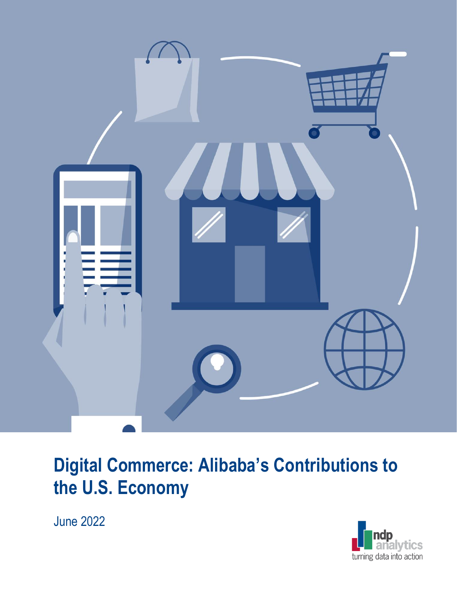

# **Digital Commerce: Alibaba's Contributions to the U.S. Economy**

June 2022

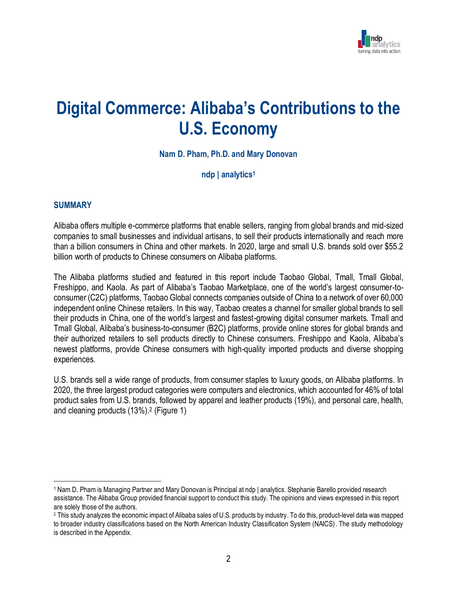

## **Digital Commerce: Alibaba's Contributions to the U.S. Economy**

**Nam D. Pham, Ph.D. and Mary Donovan**

**ndp | analytics<sup>1</sup>**

#### **SUMMARY**

Alibaba offers multiple e-commerce platforms that enable sellers, ranging from global brands and mid-sized companies to small businesses and individual artisans, to sell their products internationally and reach more than a billion consumers in China and other markets. In 2020, large and small U.S. brands sold over \$55.2 billion worth of products to Chinese consumers on Alibaba platforms.

The Alibaba platforms studied and featured in this report include Taobao Global, Tmall, Tmall Global, Freshippo, and Kaola. As part of Alibaba's Taobao Marketplace, one of the world's largest consumer-toconsumer (C2C) platforms, Taobao Global connects companies outside of China to a network of over 60,000 independent online Chinese retailers. In this way, Taobao creates a channel for smaller global brands to sell their products in China, one of the world's largest and fastest-growing digital consumer markets. Tmall and Tmall Global, Alibaba's business-to-consumer (B2C) platforms, provide online stores for global brands and their authorized retailers to sell products directly to Chinese consumers. Freshippo and Kaola, Alibaba's newest platforms, provide Chinese consumers with high-quality imported products and diverse shopping experiences.

U.S. brands sell a wide range of products, from consumer staples to luxury goods, on Alibaba platforms. In 2020, the three largest product categories were computers and electronics, which accounted for 46% of total product sales from U.S. brands, followed by apparel and leather products (19%), and personal care, health, and cleaning products (13%).<sup>2</sup> (Figure 1)

<sup>1</sup> Nam D. Pham is Managing Partner and Mary Donovan is Principal at ndp | analytics. Stephanie Barello provided research assistance. The Alibaba Group provided financial support to conduct this study. The opinions and views expressed in this report are solely those of the authors.

<sup>2</sup> This study analyzes the economic impact of Alibaba sales of U.S. products by industry. To do this, product-level data was mapped to broader industry classifications based on the North American Industry Classification System (NAICS). The study methodology is described in the Appendix.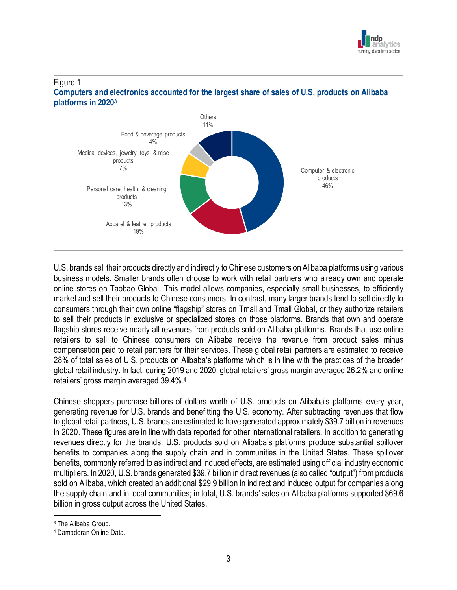

#### Figure 1. **Computers and electronics accounted for the largest share of sales of U.S. products on Alibaba platforms in 2020<sup>3</sup>**



U.S. brands sell their products directly and indirectly to Chinese customers on Alibaba platforms using various business models. Smaller brands often choose to work with retail partners who already own and operate online stores on Taobao Global. This model allows companies, especially small businesses, to efficiently market and sell their products to Chinese consumers. In contrast, many larger brands tend to sell directly to consumers through their own online "flagship" stores on Tmall and Tmall Global, or they authorize retailers to sell their products in exclusive or specialized stores on those platforms. Brands that own and operate flagship stores receive nearly all revenues from products sold on Alibaba platforms. Brands that use online retailers to sell to Chinese consumers on Alibaba receive the revenue from product sales minus compensation paid to retail partners for their services. These global retail partners are estimated to receive 28% of total sales of U.S. products on Alibaba's platforms which is in line with the practices of the broader global retail industry. In fact, during 2019 and 2020, global retailers' gross margin averaged 26.2% and online retailers' gross margin averaged 39.4%. 4

Chinese shoppers purchase billions of dollars worth of U.S. products on Alibaba's platforms every year, generating revenue for U.S. brands and benefitting the U.S. economy. After subtracting revenues that flow to global retail partners, U.S. brands are estimated to have generated approximately \$39.7 billion in revenues in 2020. These figures are in line with data reported for other international retailers. In addition to generating revenues directly for the brands, U.S. products sold on Alibaba's platforms produce substantial spillover benefits to companies along the supply chain and in communities in the United States. These spillover benefits, commonly referred to as indirect and induced effects, are estimated using official industry economic multipliers. In 2020, U.S. brands generated \$39.7 billion in direct revenues (also called "output") from products sold on Alibaba, which created an additional \$29.9 billion in indirect and induced output for companies along the supply chain and in local communities; in total, U.S. brands' sales on Alibaba platforms supported \$69.6 billion in gross output across the United States.

<sup>3</sup> The Alibaba Group.

<sup>4</sup> Damadoran Online Data.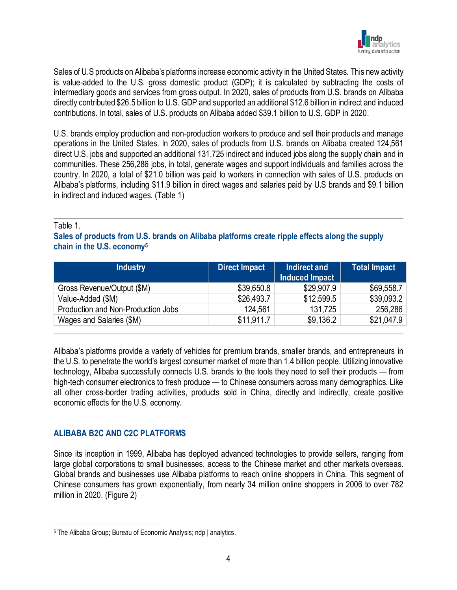

Sales of U.S products on Alibaba's platforms increase economic activity in the United States. This new activity is value-added to the U.S. gross domestic product (GDP); it is calculated by subtracting the costs of intermediary goods and services from gross output. In 2020, sales of products from U.S. brands on Alibaba directly contributed \$26.5 billion to U.S. GDP and supported an additional \$12.6 billion in indirect and induced contributions. In total, sales of U.S. products on Alibaba added \$39.1 billion to U.S. GDP in 2020.

U.S. brands employ production and non-production workers to produce and sell their products and manage operations in the United States. In 2020, sales of products from U.S. brands on Alibaba created 124,561 direct U.S. jobs and supported an additional 131,725 indirect and induced jobs along the supply chain and in communities. These 256,286 jobs, in total, generate wages and support individuals and families across the country. In 2020, a total of \$21.0 billion was paid to workers in connection with sales of U.S. products on Alibaba's platforms, including \$11.9 billion in direct wages and salaries paid by U.S brands and \$9.1 billion in indirect and induced wages. (Table 1)

#### Table 1.

**Sales of products from U.S. brands on Alibaba platforms create ripple effects along the supply chain in the U.S. economy<sup>5</sup>**

| <b>Industry</b>                    | <b>Direct Impact</b> | Indirect and<br><b>Induced Impact</b> | <b>Total Impact</b> |
|------------------------------------|----------------------|---------------------------------------|---------------------|
| Gross Revenue/Output (\$M)         | \$39,650.8           | \$29,907.9                            | \$69,558.7          |
| Value-Added (\$M)                  | \$26,493.7           | \$12,599.5                            | \$39,093.2          |
| Production and Non-Production Jobs | 124,561              | 131,725                               | 256,286             |
| Wages and Salaries (\$M)           | \$11,911.7           | \$9,136.2                             | \$21,047.9          |

Alibaba's platforms provide a variety of vehicles for premium brands, smaller brands, and entrepreneurs in the U.S. to penetrate the world's largest consumer market of more than 1.4 billion people. Utilizing innovative technology, Alibaba successfully connects U.S. brands to the tools they need to sell their products — from high-tech consumer electronics to fresh produce — to Chinese consumers across many demographics. Like all other cross-border trading activities, products sold in China, directly and indirectly, create positive economic effects for the U.S. economy.

#### **ALIBABA B2C AND C2C PLATFORMS**

Since its inception in 1999, Alibaba has deployed advanced technologies to provide sellers, ranging from large global corporations to small businesses, access to the Chinese market and other markets overseas. Global brands and businesses use Alibaba platforms to reach online shoppers in China. This segment of Chinese consumers has grown exponentially, from nearly 34 million online shoppers in 2006 to over 782 million in 2020. (Figure 2)

<sup>5</sup> The Alibaba Group; Bureau of Economic Analysis; ndp | analytics.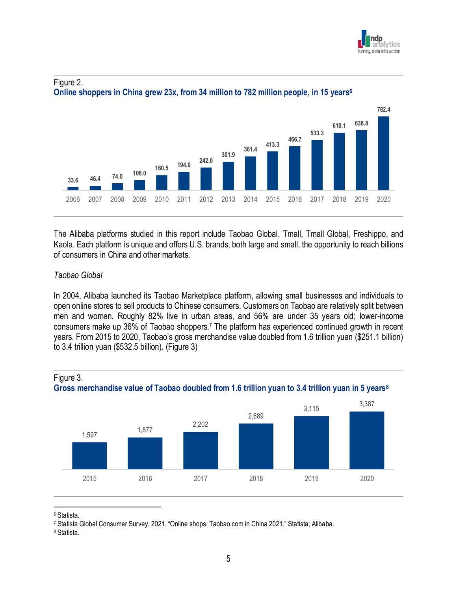



#### Figure 2. **Online shoppers in China grew 23x, from 34 million to 782 million people, in 15 years<sup>6</sup>**

The Alibaba platforms studied in this report include Taobao Global, Tmall, Tmall Global, Freshippo, and Kaola. Each platform is unique and offers U.S. brands, both large and small, the opportunity to reach billions of consumers in China and other markets.

#### *Taobao Global*

In 2004, Alibaba launched its Taobao Marketplace platform, allowing small businesses and individuals to open online stores to sell products to Chinese consumers. Customers on Taobao are relatively split between men and women. Roughly 82% live in urban areas, and 56% are under 35 years old; lower-income consumers make up 36% of Taobao shoppers.<sup>7</sup> The platform has experienced continued growth in recent years. From 2015 to 2020, Taobao's gross merchandise value doubled from 1.6 trillion yuan (\$251.1 billion) to 3.4 trillion yuan (\$532.5 billion). (Figure 3)



#### Figure 3. **Gross merchandise value of Taobao doubled from 1.6 trillion yuan to 3.4 trillion yuan in 5 years<sup>8</sup>**

<sup>6</sup> Statista.

<sup>7</sup> Statista Global Consumer Survey. 2021. "Online shops: Taobao.com in China 2021." Statista; Alibaba.

<sup>8</sup> Statista.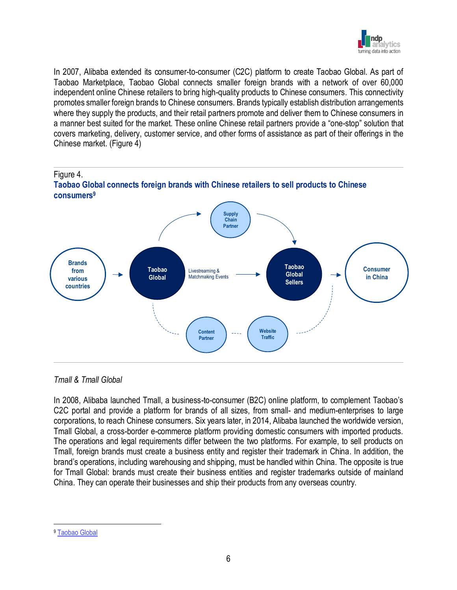

In 2007, Alibaba extended its consumer-to-consumer (C2C) platform to create Taobao Global. As part of Taobao Marketplace, Taobao Global connects smaller foreign brands with a network of over 60,000 independent online Chinese retailers to bring high-quality products to Chinese consumers. This connectivity promotes smaller foreign brands to Chinese consumers. Brands typically establish distribution arrangements where they supply the products, and their retail partners promote and deliver them to Chinese consumers in a manner best suited for the market. These online Chinese retail partners provide a "one-stop" solution that covers marketing, delivery, customer service, and other forms of assistance as part of their offerings in the Chinese market. (Figure 4)



#### *Tmall & Tmall Global*

In 2008, Alibaba launched Tmall, a business-to-consumer (B2C) online platform, to complement Taobao's C2C portal and provide a platform for brands of all sizes, from small- and medium-enterprises to large corporations, to reach Chinese consumers. Six years later, in 2014, Alibaba launched the worldwide version, Tmall Global, a cross-border e-commerce platform providing domestic consumers with imported products. The operations and legal requirements differ between the two platforms. For example, to sell products on Tmall, foreign brands must create a business entity and register their trademark in China. In addition, the brand's operations, including warehousing and shipping, must be handled within China. The opposite is true for Tmall Global: brands must create their business entities and register trademarks outside of mainland China. They can operate their businesses and ship their products from any overseas country.

<sup>9</sup> [Taobao Global](https://www.taobao.com/markets/gmall/)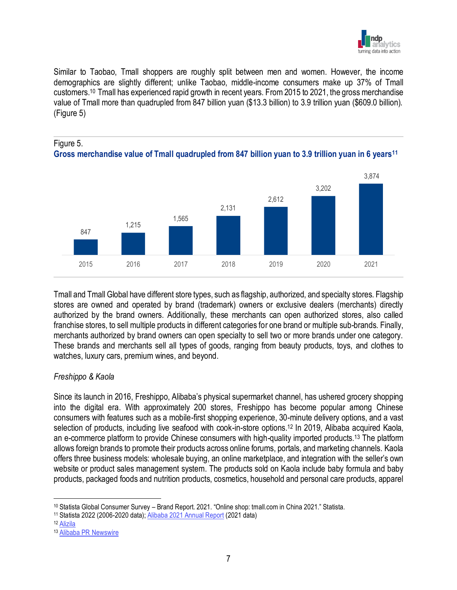

Similar to Taobao, Tmall shoppers are roughly split between men and women. However, the income demographics are slightly different; unlike Taobao, middle-income consumers make up 37% of Tmall customers.<sup>10</sup> Tmall has experienced rapid growth in recent years. From 2015 to 2021, the gross merchandise value of Tmall more than quadrupled from 847 billion yuan (\$13.3 billion) to 3.9 trillion yuan (\$609.0 billion). (Figure 5)





Tmall and Tmall Global have different store types, such as flagship, authorized, and specialty stores. Flagship stores are owned and operated by brand (trademark) owners or exclusive dealers (merchants) directly authorized by the brand owners. Additionally, these merchants can open authorized stores, also called franchise stores, to sell multiple products in different categories for one brand or multiple sub-brands. Finally, merchants authorized by brand owners can open specialty to sell two or more brands under one category. These brands and merchants sell all types of goods, ranging from beauty products, toys, and clothes to watches, luxury cars, premium wines, and beyond.

2015 2016 2017 2018 2019 2020 2021

#### *Freshippo & Kaola*

Figure 5.

Since its launch in 2016, Freshippo, Alibaba's physical supermarket channel, has ushered grocery shopping into the digital era. With approximately 200 stores, Freshippo has become popular among Chinese consumers with features such as a mobile-first shopping experience, 30-minute delivery options, and a vast selection of products, including live seafood with cook-in-store options.<sup>12</sup> In 2019, Alibaba acquired Kaola, an e-commerce platform to provide Chinese consumers with high-quality imported products.<sup>13</sup> The platform allows foreign brands to promote their products across online forums, portals, and marketing channels. Kaola offers three business models: wholesale buying, an online marketplace, and integration with the seller's own website or product sales management system. The products sold on Kaola include baby formula and baby products, packaged foods and nutrition products, cosmetics, household and personal care products, apparel

<sup>11</sup> Statista 2022 (2006-2020 data); [Alibaba 2021 Annual Report](https://doc.irasia.com/listco/hk/alibabagroup/annual/2021/ar2021.pdf) (2021 data)

<sup>10</sup> Statista Global Consumer Survey – Brand Report. 2021. "Online shop: tmall.com in China 2021." Statista.

<sup>12</sup> [Alizila](https://www.alizila.com/freshippo-store-formats-cater-to-different-consumer-needs/)

<sup>13</sup> [Alibaba PR Newswire](https://www.prnewswire.com/news-releases/alibaba-acquires-import-e-commerce-platform-kaola-from-netease-for-approximately-us2-billion-300913004.html)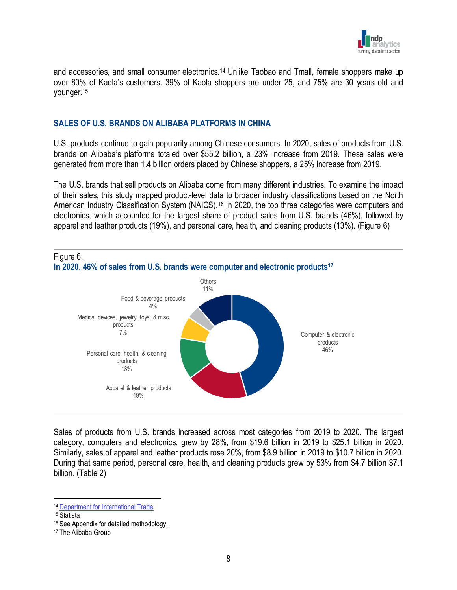

and accessories, and small consumer electronics.<sup>14</sup> Unlike Taobao and Tmall, female shoppers make up over 80% of Kaola's customers. 39% of Kaola shoppers are under 25, and 75% are 30 years old and younger.<sup>15</sup>

#### **SALES OF U.S. BRANDS ON ALIBABA PLATFORMS IN CHINA**

U.S. products continue to gain popularity among Chinese consumers. In 2020, sales of products from U.S. brands on Alibaba's platforms totaled over \$55.2 billion, a 23% increase from 2019. These sales were generated from more than 1.4 billion orders placed by Chinese shoppers, a 25% increase from 2019.

The U.S. brands that sell products on Alibaba come from many different industries. To examine the impact of their sales, this study mapped product-level data to broader industry classifications based on the North American Industry Classification System (NAICS).<sup>16</sup> In 2020, the top three categories were computers and electronics, which accounted for the largest share of product sales from U.S. brands (46%), followed by apparel and leather products (19%), and personal care, health, and cleaning products (13%). (Figure 6)



Sales of products from U.S. brands increased across most categories from 2019 to 2020. The largest category, computers and electronics, grew by 28%, from \$19.6 billion in 2019 to \$25.1 billion in 2020. Similarly, sales of apparel and leather products rose 20%, from \$8.9 billion in 2019 to \$10.7 billion in 2020. During that same period, personal care, health, and cleaning products grew by 53% from \$4.7 billion \$7.1 billion. (Table 2)

<sup>14</sup> [Department for International Trade](https://www.great.gov.uk/selling-online-overseas/markets/details/kaola/)

<sup>15</sup> Statista

<sup>16</sup> See Appendix for detailed methodology.

<sup>17</sup> The Alibaba Group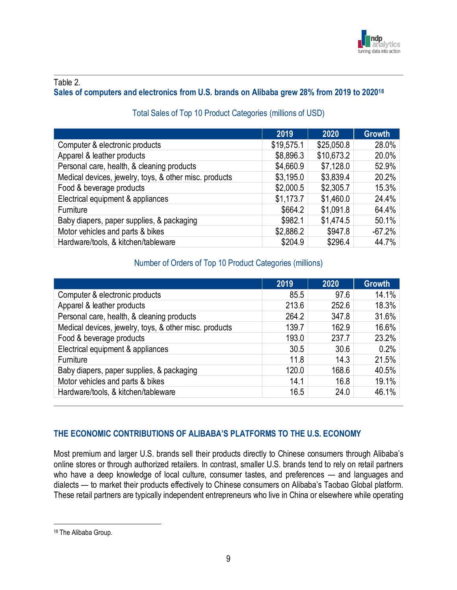

#### Table 2.

## **Sales of computers and electronics from U.S. brands on Alibaba grew 28% from 2019 to 2020<sup>18</sup>**

|                                                        | 2019       | 2020       | <b>Growth</b> |
|--------------------------------------------------------|------------|------------|---------------|
| Computer & electronic products                         | \$19,575.1 | \$25,050.8 | 28.0%         |
| Apparel & leather products                             | \$8,896.3  | \$10,673.2 | 20.0%         |
| Personal care, health, & cleaning products             | \$4,660.9  | \$7,128.0  | 52.9%         |
| Medical devices, jewelry, toys, & other misc. products | \$3,195.0  | \$3,839.4  | 20.2%         |
| Food & beverage products                               | \$2,000.5  | \$2,305.7  | 15.3%         |
| Electrical equipment & appliances                      | \$1,173.7  | \$1,460.0  | 24.4%         |
| Furniture                                              | \$664.2    | \$1,091.8  | 64.4%         |
| Baby diapers, paper supplies, & packaging              | \$982.1    | \$1,474.5  | 50.1%         |
| Motor vehicles and parts & bikes                       | \$2,886.2  | \$947.8    | $-67.2%$      |
| Hardware/tools, & kitchen/tableware                    | \$204.9    | \$296.4    | 44.7%         |

## Total Sales of Top 10 Product Categories (millions of USD)

#### Number of Orders of Top 10 Product Categories (millions)

|                                                        | 2019  | 2020  | <b>Growth</b> |
|--------------------------------------------------------|-------|-------|---------------|
| Computer & electronic products                         | 85.5  | 97.6  | 14.1%         |
| Apparel & leather products                             | 213.6 | 252.6 | 18.3%         |
| Personal care, health, & cleaning products             | 264.2 | 347.8 | 31.6%         |
| Medical devices, jewelry, toys, & other misc. products | 139.7 | 162.9 | 16.6%         |
| Food & beverage products                               | 193.0 | 237.7 | 23.2%         |
| Electrical equipment & appliances                      | 30.5  | 30.6  | 0.2%          |
| Furniture                                              | 11.8  | 14.3  | 21.5%         |
| Baby diapers, paper supplies, & packaging              | 120.0 | 168.6 | 40.5%         |
| Motor vehicles and parts & bikes                       | 14.1  | 16.8  | 19.1%         |
| Hardware/tools, & kitchen/tableware                    | 16.5  | 24.0  | 46.1%         |

## **THE ECONOMIC CONTRIBUTIONS OF ALIBABA'S PLATFORMS TO THE U.S. ECONOMY**

Most premium and larger U.S. brands sell their products directly to Chinese consumers through Alibaba's online stores or through authorized retailers. In contrast, smaller U.S. brands tend to rely on retail partners who have a deep knowledge of local culture, consumer tastes, and preferences — and languages and dialects — to market their products effectively to Chinese consumers on Alibaba's Taobao Global platform. These retail partners are typically independent entrepreneurs who live in China or elsewhere while operating

<sup>18</sup> The Alibaba Group.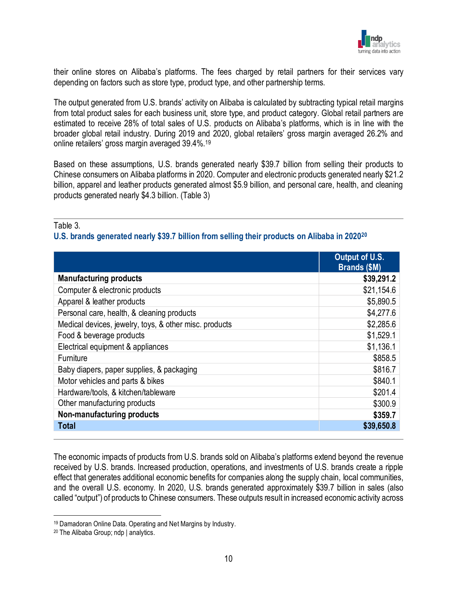

their online stores on Alibaba's platforms. The fees charged by retail partners for their services vary depending on factors such as store type, product type, and other partnership terms.

The output generated from U.S. brands' activity on Alibaba is calculated by subtracting typical retail margins from total product sales for each business unit, store type, and product category. Global retail partners are estimated to receive 28% of total sales of U.S. products on Alibaba's platforms, which is in line with the broader global retail industry. During 2019 and 2020, global retailers' gross margin averaged 26.2% and online retailers' gross margin averaged 39.4%.<sup>19</sup>

Based on these assumptions, U.S. brands generated nearly \$39.7 billion from selling their products to Chinese consumers on Alibaba platforms in 2020. Computer and electronic products generated nearly \$21.2 billion, apparel and leather products generated almost \$5.9 billion, and personal care, health, and cleaning products generated nearly \$4.3 billion. (Table 3)

#### Table 3.

#### **U.S. brands generated nearly \$39.7 billion from selling their products on Alibaba in 2020<sup>20</sup>**

|                                                        | Output of U.S.<br><b>Brands (\$M)</b> |
|--------------------------------------------------------|---------------------------------------|
| <b>Manufacturing products</b>                          | \$39,291.2                            |
| Computer & electronic products                         | \$21,154.6                            |
| Apparel & leather products                             | \$5,890.5                             |
| Personal care, health, & cleaning products             | \$4,277.6                             |
| Medical devices, jewelry, toys, & other misc. products | \$2,285.6                             |
| Food & beverage products                               | \$1,529.1                             |
| Electrical equipment & appliances                      | \$1,136.1                             |
| Furniture                                              | \$858.5                               |
| Baby diapers, paper supplies, & packaging              | \$816.7                               |
| Motor vehicles and parts & bikes                       | \$840.1                               |
| Hardware/tools, & kitchen/tableware                    | \$201.4                               |
| Other manufacturing products                           | \$300.9                               |
| Non-manufacturing products                             | \$359.7                               |
| <b>Total</b>                                           | \$39,650.8                            |

The economic impacts of products from U.S. brands sold on Alibaba's platforms extend beyond the revenue received by U.S. brands. Increased production, operations, and investments of U.S. brands create a ripple effect that generates additional economic benefits for companies along the supply chain, local communities, and the overall U.S. economy. In 2020, U.S. brands generated approximately \$39.7 billion in sales (also called "output") of products to Chinese consumers. These outputs result in increased economic activity across

<sup>19</sup> Damadoran Online Data. Operating and Net Margins by Industry.

<sup>20</sup> The Alibaba Group; ndp | analytics.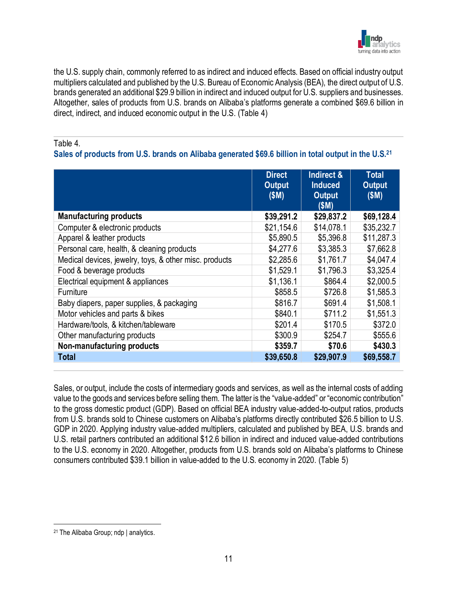

the U.S. supply chain, commonly referred to as indirect and induced effects. Based on official industry output multipliers calculated and published by the U.S. Bureau of Economic Analysis (BEA), the direct output of U.S. brands generated an additional \$29.9 billion in indirect and induced output for U.S. suppliers and businesses. Altogether, sales of products from U.S. brands on Alibaba's platforms generate a combined \$69.6 billion in direct, indirect, and induced economic output in the U.S. (Table 4)

#### Table 4.

## **Sales of products from U.S. brands on Alibaba generated \$69.6 billion in total output in the U.S.<sup>21</sup>**

|                                                        | <b>Direct</b><br><b>Output</b><br>(SM) | Indirect &<br><b>Induced</b><br><b>Output</b><br>(SM) | <b>Total</b><br><b>Output</b><br>(SM) |
|--------------------------------------------------------|----------------------------------------|-------------------------------------------------------|---------------------------------------|
| <b>Manufacturing products</b>                          | \$39,291.2                             | \$29,837.2                                            | \$69,128.4                            |
| Computer & electronic products                         | \$21,154.6                             | \$14,078.1                                            | \$35,232.7                            |
| Apparel & leather products                             | \$5,890.5                              | \$5,396.8                                             | \$11,287.3                            |
| Personal care, health, & cleaning products             | \$4,277.6                              | \$3,385.3                                             | \$7,662.8                             |
| Medical devices, jewelry, toys, & other misc. products | \$2,285.6                              | \$1,761.7                                             | \$4,047.4                             |
| Food & beverage products                               | \$1,529.1                              | \$1,796.3                                             | \$3,325.4                             |
| Electrical equipment & appliances                      | \$1,136.1                              | \$864.4                                               | \$2,000.5                             |
| Furniture                                              | \$858.5                                | \$726.8                                               | \$1,585.3                             |
| Baby diapers, paper supplies, & packaging              | \$816.7                                | \$691.4                                               | \$1,508.1                             |
| Motor vehicles and parts & bikes                       | \$840.1                                | \$711.2                                               | \$1,551.3                             |
| Hardware/tools, & kitchen/tableware                    | \$201.4                                | \$170.5                                               | \$372.0                               |
| Other manufacturing products                           | \$300.9                                | \$254.7                                               | \$555.6                               |
| Non-manufacturing products                             | \$359.7                                | \$70.6                                                | \$430.3                               |
| <b>Total</b>                                           | \$39,650.8                             | \$29,907.9                                            | \$69,558.7                            |

Sales, or output, include the costs of intermediary goods and services, as well as the internal costs of adding value to the goods and services before selling them. The latter is the "value-added" or "economic contribution" to the gross domestic product (GDP). Based on official BEA industry value-added-to-output ratios, products from U.S. brands sold to Chinese customers on Alibaba's platforms directly contributed \$26.5 billion to U.S. GDP in 2020. Applying industry value-added multipliers, calculated and published by BEA, U.S. brands and U.S. retail partners contributed an additional \$12.6 billion in indirect and induced value-added contributions to the U.S. economy in 2020. Altogether, products from U.S. brands sold on Alibaba's platforms to Chinese consumers contributed \$39.1 billion in value-added to the U.S. economy in 2020. (Table 5)

<sup>21</sup> The Alibaba Group; ndp | analytics.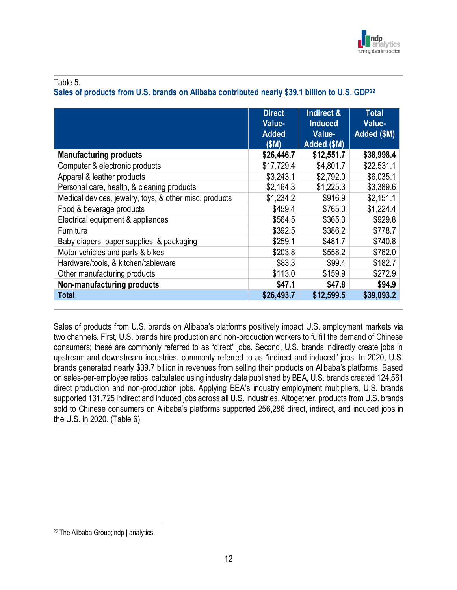

#### Table 5.

#### **Sales of products from U.S. brands on Alibaba contributed nearly \$39.1 billion to U.S. GDP<sup>22</sup>**

|                                                        | <b>Direct</b><br>Value-<br><b>Added</b><br>(SM) | Indirect &<br><b>Induced</b><br>Value-<br>Added (\$M) | Total<br>Value-<br>Added (\$M) |
|--------------------------------------------------------|-------------------------------------------------|-------------------------------------------------------|--------------------------------|
| <b>Manufacturing products</b>                          | \$26,446.7                                      | \$12,551.7                                            | \$38,998.4                     |
| Computer & electronic products                         | \$17,729.4                                      | \$4,801.7                                             | \$22,531.1                     |
| Apparel & leather products                             | \$3,243.1                                       | \$2,792.0                                             | \$6,035.1                      |
| Personal care, health, & cleaning products             | \$2,164.3                                       | \$1,225.3                                             | \$3,389.6                      |
| Medical devices, jewelry, toys, & other misc. products | \$1,234.2                                       | \$916.9                                               | \$2,151.1                      |
| Food & beverage products                               | \$459.4                                         | \$765.0                                               | \$1,224.4                      |
| Electrical equipment & appliances                      | \$564.5                                         | \$365.3                                               | \$929.8                        |
| Furniture                                              | \$392.5                                         | \$386.2                                               | \$778.7                        |
| Baby diapers, paper supplies, & packaging              | \$259.1                                         | \$481.7                                               | \$740.8                        |
| Motor vehicles and parts & bikes                       | \$203.8                                         | \$558.2                                               | \$762.0                        |
| Hardware/tools, & kitchen/tableware                    | \$83.3                                          | \$99.4                                                | \$182.7                        |
| Other manufacturing products                           | \$113.0                                         | \$159.9                                               | \$272.9                        |
| Non-manufacturing products                             | \$47.1                                          | \$47.8                                                | \$94.9                         |
| <b>Total</b>                                           | \$26,493.7                                      | \$12,599.5                                            | \$39,093.2                     |

Sales of products from U.S. brands on Alibaba's platforms positively impact U.S. employment markets via two channels. First, U.S. brands hire production and non-production workers to fulfill the demand of Chinese consumers; these are commonly referred to as "direct" jobs. Second, U.S. brands indirectly create jobs in upstream and downstream industries, commonly referred to as "indirect and induced" jobs. In 2020, U.S. brands generated nearly \$39.7 billion in revenues from selling their products on Alibaba's platforms. Based on sales-per-employee ratios, calculated using industry data published by BEA, U.S. brands created 124,561 direct production and non-production jobs. Applying BEA's industry employment multipliers, U.S. brands supported 131,725 indirect and induced jobs across all U.S. industries. Altogether, products from U.S. brands sold to Chinese consumers on Alibaba's platforms supported 256,286 direct, indirect, and induced jobs in the U.S. in 2020. (Table 6)

<sup>22</sup> The Alibaba Group; ndp | analytics.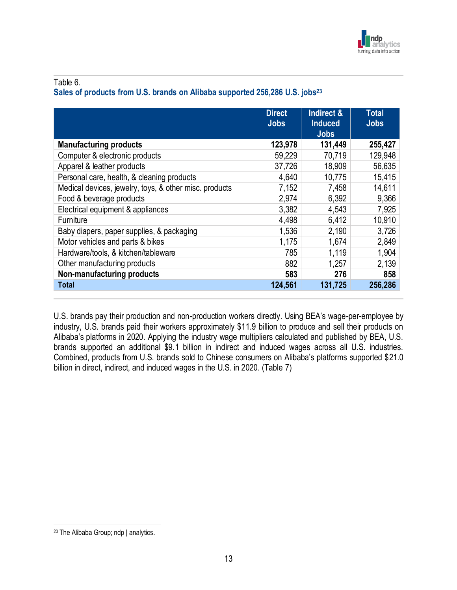

#### Table 6.

## **Sales of products from U.S. brands on Alibaba supported 256,286 U.S. jobs<sup>23</sup>**

|                                                        | <b>Direct</b><br><b>Jobs</b> | Indirect &<br><b>Induced</b><br><b>Jobs</b> | Total<br><b>Jobs</b> |
|--------------------------------------------------------|------------------------------|---------------------------------------------|----------------------|
| <b>Manufacturing products</b>                          | 123,978                      | 131,449                                     | 255,427              |
| Computer & electronic products                         | 59,229                       | 70,719                                      | 129,948              |
| Apparel & leather products                             | 37,726                       | 18,909                                      | 56,635               |
| Personal care, health, & cleaning products             | 4,640                        | 10,775                                      | 15,415               |
| Medical devices, jewelry, toys, & other misc. products | 7,152                        | 7,458                                       | 14,611               |
| Food & beverage products                               | 2,974                        | 6,392                                       | 9,366                |
| Electrical equipment & appliances                      | 3,382                        | 4,543                                       | 7,925                |
| Furniture                                              | 4,498                        | 6,412                                       | 10,910               |
| Baby diapers, paper supplies, & packaging              | 1,536                        | 2,190                                       | 3,726                |
| Motor vehicles and parts & bikes                       | 1,175                        | 1,674                                       | 2,849                |
| Hardware/tools, & kitchen/tableware                    | 785                          | 1,119                                       | 1,904                |
| Other manufacturing products                           | 882                          | 1,257                                       | 2,139                |
| Non-manufacturing products                             | 583                          | 276                                         | 858                  |
| <b>Total</b>                                           | 124,561                      | 131,725                                     | 256,286              |

U.S. brands pay their production and non-production workers directly. Using BEA's wage-per-employee by industry, U.S. brands paid their workers approximately \$11.9 billion to produce and sell their products on Alibaba's platforms in 2020. Applying the industry wage multipliers calculated and published by BEA, U.S. brands supported an additional \$9.1 billion in indirect and induced wages across all U.S. industries. Combined, products from U.S. brands sold to Chinese consumers on Alibaba's platforms supported \$21.0 billion in direct, indirect, and induced wages in the U.S. in 2020. (Table 7)

<sup>23</sup> The Alibaba Group; ndp | analytics.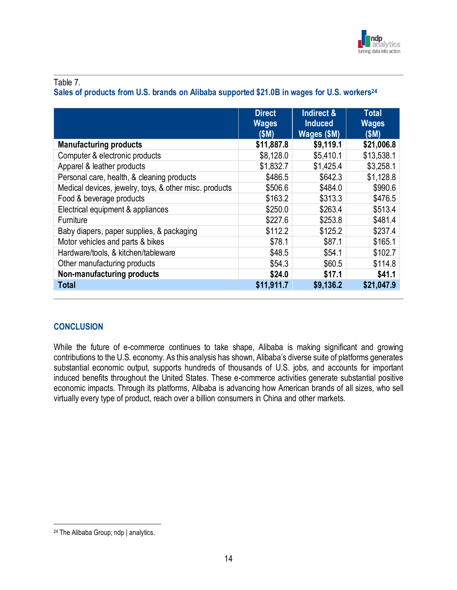

#### Table 7.

## **Sales of products from U.S. brands on Alibaba supported \$21.0B in wages for U.S. workers<sup>24</sup>**

|                                                        | <b>Direct</b><br><b>Wages</b><br>(SM) | Indirect &<br><b>Induced</b><br>Wages (\$M) | <b>Total</b><br><b>Wages</b><br>(SM) |
|--------------------------------------------------------|---------------------------------------|---------------------------------------------|--------------------------------------|
| <b>Manufacturing products</b>                          | \$11,887.8                            | \$9,119.1                                   | \$21,006.8                           |
| Computer & electronic products                         | \$8,128.0                             | \$5,410.1                                   | \$13,538.1                           |
| Apparel & leather products                             | \$1,832.7                             | \$1,425.4                                   | \$3,258.1                            |
| Personal care, health, & cleaning products             | \$486.5                               | \$642.3                                     | \$1,128.8                            |
| Medical devices, jewelry, toys, & other misc. products | \$506.6                               | \$484.0                                     | \$990.6                              |
| Food & beverage products                               | \$163.2                               | \$313.3                                     | \$476.5                              |
| Electrical equipment & appliances                      | \$250.0                               | \$263.4                                     | \$513.4                              |
| Furniture                                              | \$227.6                               | \$253.8                                     | \$481.4                              |
| Baby diapers, paper supplies, & packaging              | \$112.2                               | \$125.2                                     | \$237.4                              |
| Motor vehicles and parts & bikes                       | \$78.1                                | \$87.1                                      | \$165.1                              |
| Hardware/tools, & kitchen/tableware                    | \$48.5                                | \$54.1                                      | \$102.7                              |
| Other manufacturing products                           | \$54.3                                | \$60.5                                      | \$114.8                              |
| Non-manufacturing products                             | \$24.0                                | \$17.1                                      | \$41.1                               |
| <b>Total</b>                                           | \$11,911.7                            | \$9,136.2                                   | \$21,047.9                           |

#### **CONCLUSION**

While the future of e-commerce continues to take shape, Alibaba is making significant and growing contributions to the U.S. economy. As this analysis has shown, Alibaba's diverse suite of platforms generates substantial economic output, supports hundreds of thousands of U.S. jobs, and accounts for important induced benefits throughout the United States. These e-commerce activities generate substantial positive economic impacts. Through its platforms, Alibaba is advancing how American brands of all sizes, who sell virtually every type of product, reach over a billion consumers in China and other markets.

<sup>24</sup> The Alibaba Group; ndp | analytics.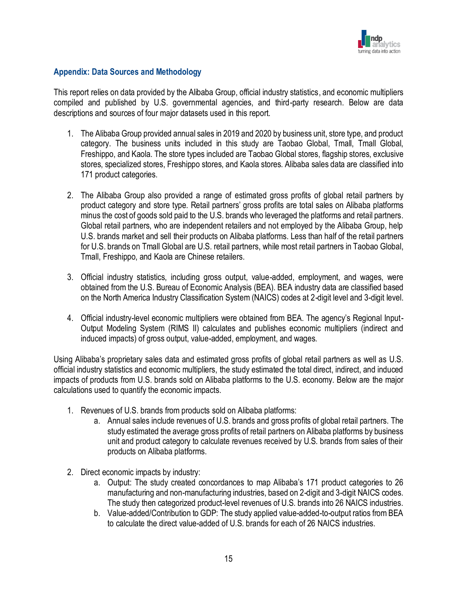

#### **Appendix: Data Sources and Methodology**

This report relies on data provided by the Alibaba Group, official industry statistics, and economic multipliers compiled and published by U.S. governmental agencies, and third-party research. Below are data descriptions and sources of four major datasets used in this report.

- 1. The Alibaba Group provided annual sales in 2019 and 2020 by business unit, store type, and product category. The business units included in this study are Taobao Global, Tmall, Tmall Global, Freshippo, and Kaola. The store types included are Taobao Global stores, flagship stores, exclusive stores, specialized stores, Freshippo stores, and Kaola stores. Alibaba sales data are classified into 171 product categories.
- 2. The Alibaba Group also provided a range of estimated gross profits of global retail partners by product category and store type. Retail partners' gross profits are total sales on Alibaba platforms minus the cost of goods sold paid to the U.S. brands who leveraged the platforms and retail partners. Global retail partners, who are independent retailers and not employed by the Alibaba Group, help U.S. brands market and sell their products on Alibaba platforms. Less than half of the retail partners for U.S. brands on Tmall Global are U.S. retail partners, while most retail partners in Taobao Global, Tmall, Freshippo, and Kaola are Chinese retailers.
- 3. Official industry statistics, including gross output, value-added, employment, and wages, were obtained from the U.S. Bureau of Economic Analysis (BEA). BEA industry data are classified based on the North America Industry Classification System (NAICS) codes at 2-digit level and 3-digit level.
- 4. Official industry-level economic multipliers were obtained from BEA. The agency's Regional Input-Output Modeling System (RIMS II) calculates and publishes economic multipliers (indirect and induced impacts) of gross output, value-added, employment, and wages.

Using Alibaba's proprietary sales data and estimated gross profits of global retail partners as well as U.S. official industry statistics and economic multipliers, the study estimated the total direct, indirect, and induced impacts of products from U.S. brands sold on Alibaba platforms to the U.S. economy. Below are the major calculations used to quantify the economic impacts.

- 1. Revenues of U.S. brands from products sold on Alibaba platforms:
	- a. Annual sales include revenues of U.S. brands and gross profits of global retail partners. The study estimated the average gross profits of retail partners on Alibaba platforms by business unit and product category to calculate revenues received by U.S. brands from sales of their products on Alibaba platforms.
- 2. Direct economic impacts by industry:
	- a. Output: The study created concordances to map Alibaba's 171 product categories to 26 manufacturing and non-manufacturing industries, based on 2-digit and 3-digit NAICS codes. The study then categorized product-level revenues of U.S. brands into 26 NAICS industries.
	- b. Value-added/Contribution to GDP: The study applied value-added-to-output ratios from BEA to calculate the direct value-added of U.S. brands for each of 26 NAICS industries.